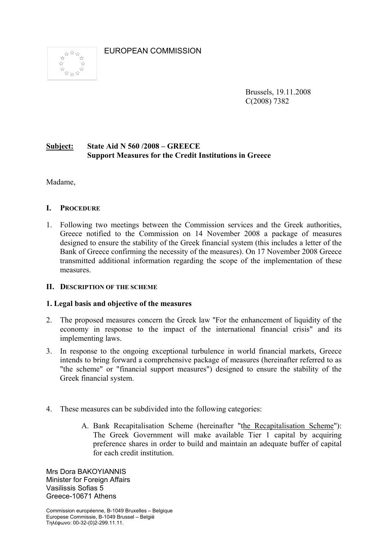EUROPEAN COMMISSION



Brussels, 19.11.2008 C(2008) 7382

## **Subject: State Aid N 560 /2008 – GREECE Support Measures for the Credit Institutions in Greece**

Madame,

### **I. PROCEDURE**

1. Following two meetings between the Commission services and the Greek authorities, Greece notified to the Commission on 14 November 2008 a package of measures designed to ensure the stability of the Greek financial system (this includes a letter of the Bank of Greece confirming the necessity of the measures). On 17 November 2008 Greece transmitted additional information regarding the scope of the implementation of these measures.

### **II. DESCRIPTION OF THE SCHEME**

#### **1. Legal basis and objective of the measures**

- 2. The proposed measures concern the Greek law ''For the enhancement of liquidity of the economy in response to the impact of the international financial crisis" and its implementing laws.
- 3. In response to the ongoing exceptional turbulence in world financial markets, Greece intends to bring forward a comprehensive package of measures (hereinafter referred to as "the scheme" or "financial support measures") designed to ensure the stability of the Greek financial system.
- 4. These measures can be subdivided into the following categories:
	- A. Bank Recapitalisation Scheme (hereinafter "the Recapitalisation Scheme"): The Greek Government will make available Tier 1 capital by acquiring preference shares in order to build and maintain an adequate buffer of capital for each credit institution.

Mrs Dora BAKOYIANNIS Minister for Foreign Affairs Vasilissis Sofias 5 Greece-10671 Athens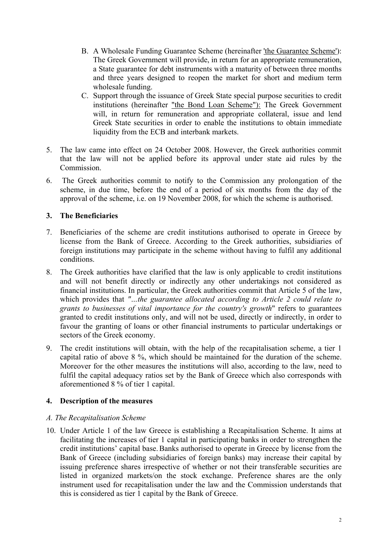- B. A Wholesale Funding Guarantee Scheme (hereinafter 'the Guarantee Scheme'): The Greek Government will provide, in return for an appropriate remuneration, a State guarantee for debt instruments with a maturity of between three months and three years designed to reopen the market for short and medium term wholesale funding.
- C. Support through the issuance of Greek State special purpose securities to credit institutions (hereinafter "the Bond Loan Scheme"): The Greek Government will, in return for remuneration and appropriate collateral, issue and lend Greek State securities in order to enable the institutions to obtain immediate liquidity from the ECB and interbank markets.
- 5. The law came into effect on 24 October 2008. However, the Greek authorities commit that the law will not be applied before its approval under state aid rules by the Commission.
- 6. The Greek authorities commit to notify to the Commission any prolongation of the scheme, in due time, before the end of a period of six months from the day of the approval of the scheme, i.e. on 19 November 2008, for which the scheme is authorised.

## **3. The Beneficiaries**

- 7. Beneficiaries of the scheme are credit institutions authorised to operate in Greece by license from the Bank of Greece. According to the Greek authorities, subsidiaries of foreign institutions may participate in the scheme without having to fulfil any additional conditions.
- 8. The Greek authorities have clarified that the law is only applicable to credit institutions and will not benefit directly or indirectly any other undertakings not considered as financial institutions. In particular, the Greek authorities commit that Article 5 of the law, which provides that *"…the guarantee allocated according to Article 2 could relate to grants to businesses of vital importance for the country's growth*" refers to guarantees granted to credit institutions only, and will not be used, directly or indirectly, in order to favour the granting of loans or other financial instruments to particular undertakings or sectors of the Greek economy.
- 9. The credit institutions will obtain, with the help of the recapitalisation scheme, a tier 1 capital ratio of above 8 %, which should be maintained for the duration of the scheme. Moreover for the other measures the institutions will also, according to the law, need to fulfil the capital adequacy ratios set by the Bank of Greece which also corresponds with aforementioned 8 % of tier 1 capital.

### **4. Description of the measures**

### *A. The Recapitalisation Scheme*

10. Under Article 1 of the law Greece is establishing a Recapitalisation Scheme. It aims at facilitating the increases of tier 1 capital in participating banks in order to strengthen the credit institutions' capital base.Banks authorised to operate in Greece by license from the Bank of Greece (including subsidiaries of foreign banks) may increase their capital by issuing preference shares irrespective of whether or not their transferable securities are listed in organized markets/on the stock exchange. Preference shares are the only instrument used for recapitalisation under the law and the Commission understands that this is considered as tier 1 capital by the Bank of Greece.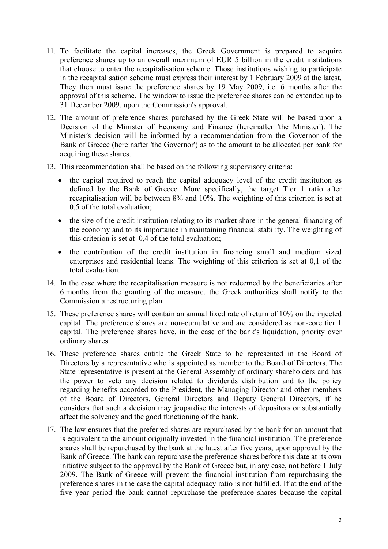- 11. To facilitate the capital increases, the Greek Government is prepared to acquire preference shares up to an overall maximum of EUR 5 billion in the credit institutions that choose to enter the recapitalisation scheme. Those institutions wishing to participate in the recapitalisation scheme must express their interest by 1 February 2009 at the latest. They then must issue the preference shares by 19 May 2009, i.e. 6 months after the approval of this scheme. The window to issue the preference shares can be extended up to 31 December 2009, upon the Commission's approval.
- 12. The amount of preference shares purchased by the Greek State will be based upon a Decision of the Minister of Economy and Finance (hereinafter 'the Minister'). The Minister's decision will be informed by a recommendation from the Governor of the Bank of Greece (hereinafter 'the Governor') as to the amount to be allocated per bank for acquiring these shares.
- 13. This recommendation shall be based on the following supervisory criteria:
	- the capital required to reach the capital adequacy level of the credit institution as defined by the Bank of Greece. More specifically, the target Tier 1 ratio after recapitalisation will be between 8% and 10%. The weighting of this criterion is set at 0,5 of the total evaluation;
	- the size of the credit institution relating to its market share in the general financing of the economy and to its importance in maintaining financial stability. The weighting of this criterion is set at 0,4 of the total evaluation;
	- the contribution of the credit institution in financing small and medium sized enterprises and residential loans. The weighting of this criterion is set at 0,1 of the total evaluation.
- 14. In the case where the recapitalisation measure is not redeemed by the beneficiaries after 6 months from the granting of the measure, the Greek authorities shall notify to the Commission a restructuring plan.
- 15. These preference shares will contain an annual fixed rate of return of 10% on the injected capital. The preference shares are non-cumulative and are considered as non-core tier 1 capital. The preference shares have, in the case of the bank's liquidation, priority over ordinary shares.
- 16. These preference shares entitle the Greek State to be represented in the Board of Directors by a representative who is appointed as member to the Board of Directors. The State representative is present at the General Assembly of ordinary shareholders and has the power to veto any decision related to dividends distribution and to the policy regarding benefits accorded to the President, the Managing Director and other members of the Board of Directors, General Directors and Deputy General Directors, if he considers that such a decision may jeopardise the interests of depositors or substantially affect the solvency and the good functioning of the bank.
- 17. The law ensures that the preferred shares are repurchased by the bank for an amount that is equivalent to the amount originally invested in the financial institution. The preference shares shall be repurchased by the bank at the latest after five years, upon approval by the Bank of Greece. The bank can repurchase the preference shares before this date at its own initiative subject to the approval by the Bank of Greece but, in any case, not before 1 July 2009. The Bank of Greece will prevent the financial institution from repurchasing the preference shares in the case the capital adequacy ratio is not fulfilled. If at the end of the five year period the bank cannot repurchase the preference shares because the capital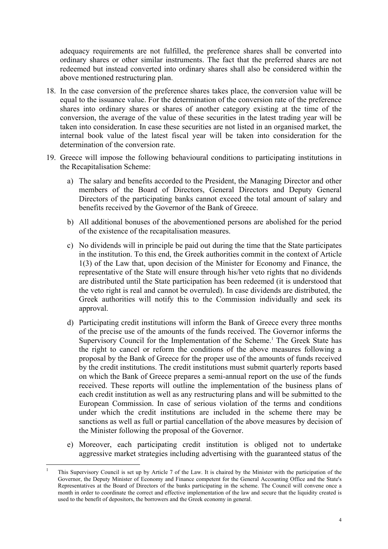adequacy requirements are not fulfilled, the preference shares shall be converted into ordinary shares or other similar instruments. The fact that the preferred shares are not redeemed but instead converted into ordinary shares shall also be considered within the above mentioned restructuring plan.

- 18. In the case conversion of the preference shares takes place, the conversion value will be equal to the issuance value. For the determination of the conversion rate of the preference shares into ordinary shares or shares of another category existing at the time of the conversion, the average of the value of these securities in the latest trading year will be taken into consideration. In case these securities are not listed in an organised market, the internal book value of the latest fiscal year will be taken into consideration for the determination of the conversion rate.
- 19. Greece will impose the following behavioural conditions to participating institutions in the Recapitalisation Scheme:
	- a) The salary and benefits accorded to the President, the Managing Director and other members of the Board of Directors, General Directors and Deputy General Directors of the participating banks cannot exceed the total amount of salary and benefits received by the Governor of the Bank of Greece.
	- b) All additional bonuses of the abovementioned persons are abolished for the period of the existence of the recapitalisation measures.
	- c) No dividends will in principle be paid out during the time that the State participates in the institution. To this end, the Greek authorities commit in the context of Article 1(3) of the Law that, upon decision of the Minister for Economy and Finance, the representative of the State will ensure through his/her veto rights that no dividends are distributed until the State participation has been redeemed (it is understood that the veto right is real and cannot be overruled). In case dividends are distributed, the Greek authorities will notify this to the Commission individually and seek its approval.
	- d) Participating credit institutions will inform the Bank of Greece every three months of the precise use of the amounts of the funds received. The Governor informs the Supervisory Council for the Implementation of the Scheme.<sup>1</sup> The Greek State has the right to cancel or reform the conditions of the above measures following a proposal by the Bank of Greece for the proper use of the amounts of funds received by the credit institutions. The credit institutions must submit quarterly reports based on which the Bank of Greece prepares a semi-annual report on the use of the funds received. These reports will outline the implementation of the business plans of each credit institution as well as any restructuring plans and will be submitted to the European Commission. In case of serious violation of the terms and conditions under which the credit institutions are included in the scheme there may be sanctions as well as full or partial cancellation of the above measures by decision of the Minister following the proposal of the Governor.
	- e) Moreover, each participating credit institution is obliged not to undertake aggressive market strategies including advertising with the guaranteed status of the

1

<sup>1</sup> This Supervisory Council is set up by Article 7 of the Law. It is chaired by the Minister with the participation of the Governor, the Deputy Minister of Economy and Finance competent for the General Accounting Office and the State's Representatives at the Board of Directors of the banks participating in the scheme. The Council will convene once a month in order to coordinate the correct and effective implementation of the law and secure that the liquidity created is used to the benefit of depositors, the borrowers and the Greek economy in general.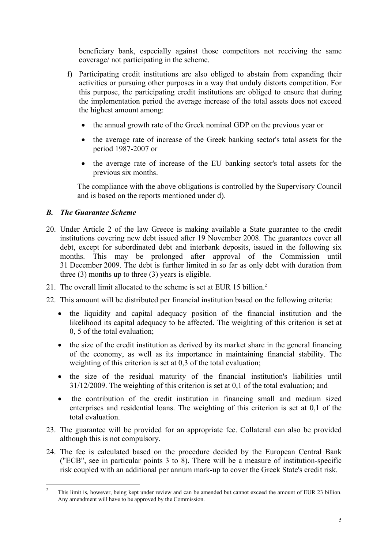beneficiary bank, especially against those competitors not receiving the same coverage/ not participating in the scheme.

- f) Participating credit institutions are also obliged to abstain from expanding their activities or pursuing other purposes in a way that unduly distorts competition. For this purpose, the participating credit institutions are obliged to ensure that during the implementation period the average increase of the total assets does not exceed the highest amount among:
	- the annual growth rate of the Greek nominal GDP on the previous year or
	- the average rate of increase of the Greek banking sector's total assets for the period 1987-2007 or
	- the average rate of increase of the EU banking sector's total assets for the previous six months.

The compliance with the above obligations is controlled by the Supervisory Council and is based on the reports mentioned under d).

## *B. The Guarantee Scheme*

- 20. Under Article 2 of the law Greece is making available a State guarantee to the credit institutions covering new debt issued after 19 November 2008. The guarantees cover all debt, except for subordinated debt and interbank deposits, issued in the following six months. This may be prolonged after approval of the Commission until 31 December 2009. The debt is further limited in so far as only debt with duration from three (3) months up to three (3) years is eligible.
- 21. The overall limit allocated to the scheme is set at EUR 15 billion.<sup>2</sup>
- 22. This amount will be distributed per financial institution based on the following criteria:
	- the liquidity and capital adequacy position of the financial institution and the likelihood its capital adequacy to be affected. The weighting of this criterion is set at 0, 5 of the total evaluation;
	- the size of the credit institution as derived by its market share in the general financing of the economy, as well as its importance in maintaining financial stability. The weighting of this criterion is set at 0,3 of the total evaluation;
	- the size of the residual maturity of the financial institution's liabilities until 31/12/2009. The weighting of this criterion is set at 0,1 of the total evaluation; and
	- the contribution of the credit institution in financing small and medium sized enterprises and residential loans. The weighting of this criterion is set at 0,1 of the total evaluation.
- 23. The guarantee will be provided for an appropriate fee. Collateral can also be provided although this is not compulsory.
- 24. The fee is calculated based on the procedure decided by the European Central Bank ("ECB", see in particular points 3 to 8). There will be a measure of institution-specific risk coupled with an additional per annum mark-up to cover the Greek State's credit risk.

 $\frac{1}{2}$  This limit is, however, being kept under review and can be amended but cannot exceed the amount of EUR 23 billion. Any amendment will have to be approved by the Commission.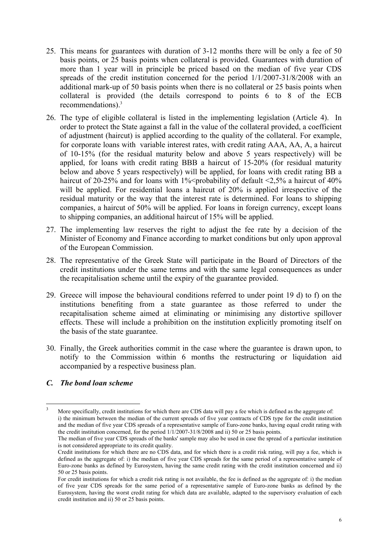- 25. This means for guarantees with duration of 3-12 months there will be only a fee of 50 basis points, or 25 basis points when collateral is provided. Guarantees with duration of more than 1 year will in principle be priced based on the median of five year CDS spreads of the credit institution concerned for the period 1/1/2007-31/8/2008 with an additional mark-up of 50 basis points when there is no collateral or 25 basis points when collateral is provided (the details correspond to points 6 to 8 of the ECB recommendations).<sup>3</sup>
- 26. The type of eligible collateral is listed in the implementing legislation (Article 4). In order to protect the State against a fall in the value of the collateral provided, a coefficient of adjustment (haircut) is applied according to the quality of the collateral. For example, for corporate loans with variable interest rates, with credit rating AAA, AA, A, a haircut of 10-15% (for the residual maturity below and above 5 years respectively) will be applied, for loans with credit rating BBB a haircut of 15-20% (for residual maturity below and above 5 years respectively) will be applied, for loans with credit rating BB a haircut of 20-25% and for loans with 1% <probability of default  $\langle 2.5\%$  a haircut of 40% will be applied. For residential loans a haircut of 20% is applied irrespective of the residual maturity or the way that the interest rate is determined. For loans to shipping companies, a haircut of 50% will be applied. For loans in foreign currency, except loans to shipping companies, an additional haircut of 15% will be applied.
- 27. The implementing law reserves the right to adjust the fee rate by a decision of the Minister of Economy and Finance according to market conditions but only upon approval of the European Commission.
- 28. The representative of the Greek State will participate in the Board of Directors of the credit institutions under the same terms and with the same legal consequences as under the recapitalisation scheme until the expiry of the guarantee provided.
- 29. Greece will impose the behavioural conditions referred to under point 19 d) to f) on the institutions benefiting from a state guarantee as those referred to under the recapitalisation scheme aimed at eliminating or minimising any distortive spillover effects. These will include a prohibition on the institution explicitly promoting itself on the basis of the state guarantee.
- 30. Finally, the Greek authorities commit in the case where the guarantee is drawn upon, to notify to the Commission within 6 months the restructuring or liquidation aid accompanied by a respective business plan.

### *C. The bond loan scheme*

1

<sup>3</sup> More specifically, credit institutions for which there are CDS data will pay a fee which is defined as the aggregate of: i) the minimum between the median of the current spreads of five year contracts of CDS type for the credit institution and the median of five year CDS spreads of a representative sample of Euro-zone banks, having equal credit rating with the credit institution concerned, for the period  $1/\overline{1}/2007-31/8/2008$  and ii) 50 or 25 basis points.

The median of five year CDS spreads of the banks' sample may also be used in case the spread of a particular institution is not considered appropriate to its credit quality.

Credit institutions for which there are no CDS data, and for which there is a credit risk rating, will pay a fee, which is defined as the aggregate of: i) the median of five year CDS spreads for the same period of a representative sample of Euro-zone banks as defined by Eurosystem, having the same credit rating with the credit institution concerned and ii) 50 or 25 basis points.

For credit institutions for which a credit risk rating is not available, the fee is defined as the aggregate of: i) the median of five year CDS spreads for the same period of a representative sample of Euro-zone banks as defined by the Eurosystem, having the worst credit rating for which data are available, adapted to the supervisory evaluation of each credit institution and ii) 50 or 25 basis points.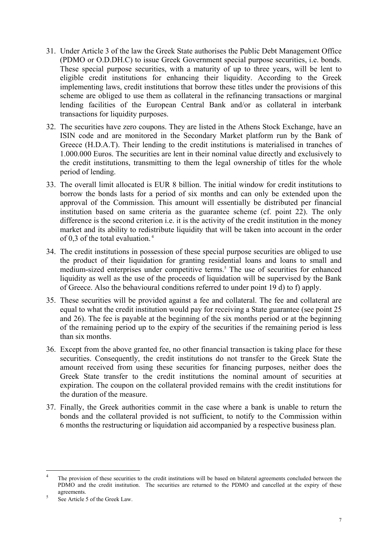- 31. Under Article 3 of the law the Greek State authorises the Public Debt Management Office (PDMO or O.D.DH.C) to issue Greek Government special purpose securities, i.e. bonds. These special purpose securities, with a maturity of up to three years, will be lent to eligible credit institutions for enhancing their liquidity. According to the Greek implementing laws, credit institutions that borrow these titles under the provisions of this scheme are obliged to use them as collateral in the refinancing transactions or marginal lending facilities of the European Central Bank and/or as collateral in interbank transactions for liquidity purposes.
- 32. The securities have zero coupons. They are listed in the Athens Stock Exchange, have an ISIN code and are monitored in the Secondary Market platform run by the Bank of Greece (H.D.A.T). Their lending to the credit institutions is materialised in tranches of 1.000.000 Euros. The securities are lent in their nominal value directly and exclusively to the credit institutions, transmitting to them the legal ownership of titles for the whole period of lending.
- 33. The overall limit allocated is EUR 8 billion. The initial window for credit institutions to borrow the bonds lasts for a period of six months and can only be extended upon the approval of the Commission. This amount will essentially be distributed per financial institution based on same criteria as the guarantee scheme (cf. point 22). The only difference is the second criterion i.e. it is the activity of the credit institution in the money market and its ability to redistribute liquidity that will be taken into account in the order of 0,3 of the total evaluation. 4
- 34. The credit institutions in possession of these special purpose securities are obliged to use the product of their liquidation for granting residential loans and loans to small and medium-sized enterprises under competitive terms.<sup>5</sup> The use of securities for enhanced liquidity as well as the use of the proceeds of liquidation will be supervised by the Bank of Greece. Also the behavioural conditions referred to under point 19 d) to f) apply.
- 35. These securities will be provided against a fee and collateral. The fee and collateral are equal to what the credit institution would pay for receiving a State guarantee (see point 25 and 26). The fee is payable at the beginning of the six months period or at the beginning of the remaining period up to the expiry of the securities if the remaining period is less than six months.
- 36. Except from the above granted fee, no other financial transaction is taking place for these securities. Consequently, the credit institutions do not transfer to the Greek State the amount received from using these securities for financing purposes, neither does the Greek State transfer to the credit institutions the nominal amount of securities at expiration. The coupon on the collateral provided remains with the credit institutions for the duration of the measure.
- 37. Finally, the Greek authorities commit in the case where a bank is unable to return the bonds and the collateral provided is not sufficient, to notify to the Commission within 6 months the restructuring or liquidation aid accompanied by a respective business plan.

 $\frac{1}{4}$  The provision of these securities to the credit institutions will be based on bilateral agreements concluded between the PDMO and the credit institution. The securities are returned to the PDMO and cancelled at the expiry of these agreements.

See Article 5 of the Greek Law.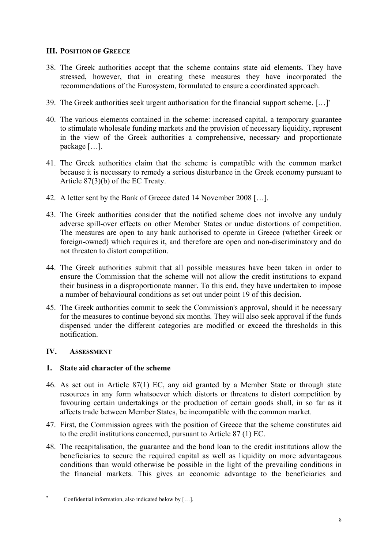## **III. POSITION OF GREECE**

- 38. The Greek authorities accept that the scheme contains state aid elements. They have stressed, however, that in creating these measures they have incorporated the recommendations of the Eurosystem, formulated to ensure a coordinated approach.
- 39. The Greek authorities seek urgent authorisation for the financial support scheme. […]<sup>∗</sup>
- 40. The various elements contained in the scheme: increased capital, a temporary guarantee to stimulate wholesale funding markets and the provision of necessary liquidity, represent in the view of the Greek authorities a comprehensive, necessary and proportionate package […].
- 41. The Greek authorities claim that the scheme is compatible with the common market because it is necessary to remedy a serious disturbance in the Greek economy pursuant to Article 87(3)(b) of the EC Treaty.
- 42. A letter sent by the Bank of Greece dated 14 November 2008 […].
- 43. The Greek authorities consider that the notified scheme does not involve any unduly adverse spill-over effects on other Member States or undue distortions of competition. The measures are open to any bank authorised to operate in Greece (whether Greek or foreign-owned) which requires it, and therefore are open and non-discriminatory and do not threaten to distort competition.
- 44. The Greek authorities submit that all possible measures have been taken in order to ensure the Commission that the scheme will not allow the credit institutions to expand their business in a disproportionate manner. To this end, they have undertaken to impose a number of behavioural conditions as set out under point 19 of this decision.
- 45. The Greek authorities commit to seek the Commission's approval, should it be necessary for the measures to continue beyond six months. They will also seek approval if the funds dispensed under the different categories are modified or exceed the thresholds in this notification.

### **IV. ASSESSMENT**

1

### **1. State aid character of the scheme**

- 46. As set out in Article 87(1) EC, any aid granted by a Member State or through state resources in any form whatsoever which distorts or threatens to distort competition by favouring certain undertakings or the production of certain goods shall, in so far as it affects trade between Member States, be incompatible with the common market.
- 47. First, the Commission agrees with the position of Greece that the scheme constitutes aid to the credit institutions concerned, pursuant to Article 87 (1) EC.
- 48. The recapitalisation, the guarantee and the bond loan to the credit institutions allow the beneficiaries to secure the required capital as well as liquidity on more advantageous conditions than would otherwise be possible in the light of the prevailing conditions in the financial markets. This gives an economic advantage to the beneficiaries and

<sup>∗</sup> Confidential information, also indicated below by […].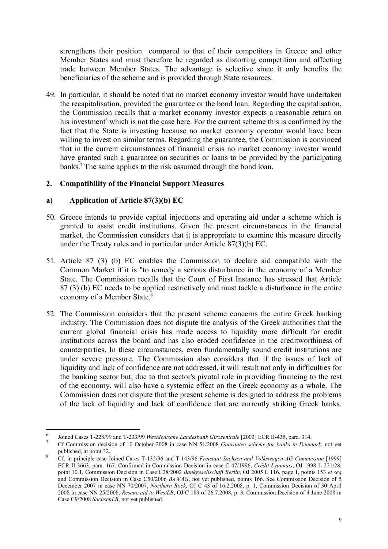strengthens their position compared to that of their competitors in Greece and other Member States and must therefore be regarded as distorting competition and affecting trade between Member States. The advantage is selective since it only benefits the beneficiaries of the scheme and is provided through State resources.

49. In particular, it should be noted that no market economy investor would have undertaken the recapitalisation, provided the guarantee or the bond loan. Regarding the capitalisation, the Commission recalls that a market economy investor expects a reasonable return on his investment<sup>6</sup> which is not the case here. For the current scheme this is confirmed by the fact that the State is investing because no market economy operator would have been willing to invest on similar terms. Regarding the guarantee, the Commission is convinced that in the current circumstances of financial crisis no market economy investor would have granted such a guarantee on securities or loans to be provided by the participating banks.<sup>7</sup> The same applies to the risk assumed through the bond loan.

### **2. Compatibility of the Financial Support Measures**

### **a) Application of Article 87(3)(b) EC**

1

- 50. Greece intends to provide capital injections and operating aid under a scheme which is granted to assist credit institutions. Given the present circumstances in the financial market, the Commission considers that it is appropriate to examine this measure directly under the Treaty rules and in particular under Article 87(3)(b) EC.
- 51. Article 87 (3) (b) EC enables the Commission to declare aid compatible with the Common Market if it is "to remedy a serious disturbance in the economy of a Member State. The Commission recalls that the Court of First Instance has stressed that Article 87 (3) (b) EC needs to be applied restrictively and must tackle a disturbance in the entire economy of a Member State.<sup>8</sup>
- 52. The Commission considers that the present scheme concerns the entire Greek banking industry. The Commission does not dispute the analysis of the Greek authorities that the current global financial crisis has made access to liquidity more difficult for credit institutions across the board and has also eroded confidence in the creditworthiness of counterparties. In these circumstances, even fundamentally sound credit institutions are under severe pressure. The Commission also considers that if the issues of lack of liquidity and lack of confidence are not addressed, it will result not only in difficulties for the banking sector but, due to that sector's pivotal role in providing financing to the rest of the economy, will also have a systemic effect on the Greek economy as a whole. The Commission does not dispute that the present scheme is designed to address the problems of the lack of liquidity and lack of confidence that are currently striking Greek banks.

<sup>6</sup> Joined Cases T-228/99 and T-233/99 *Westdeutsche Landesbank Girozentrale* [2003] ECR II-435, para. 314. 7

Cf Commission decision of 10 October 2008 in case NN 51/2008 *Guarantee scheme for banks in Denmark*, not yet published, at point 32. 8

Cf. in principle case Joined Cases T-132/96 and T-143/96 *Freistaat Sachsen and Volkswagen AG Commission* [1999] ECR II-3663, para. 167. Confirmed in Commission Decision in case C 47/1996, *Crédit Lyonnais*, OJ 1998 L 221/28, point 10.1, Commission Decision in Case C28/2002 *Bankgesellschaft Berlin*, OJ 2005 L 116, page 1, points 153 *et seq*  and Commission Decision in Case C50/2006 *BAWAG*, not yet published, points 166. See Commission Decision of 5 December 2007 in case NN 70/2007, *Northern Rock*, OJ C 43 of 16.2.2008, p. 1, Commission Decision of 30 April 2008 in case NN 25/2008, *Rescue aid to WestLB*, OJ C 189 of 26.7.2008, p. 3, Commission Decision of 4 June 2008 in Case C9/2008 *SachsenLB*, not yet published.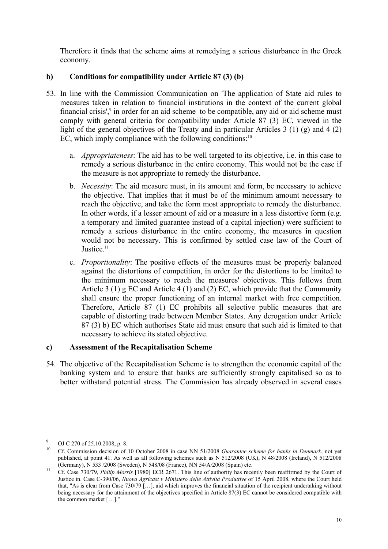Therefore it finds that the scheme aims at remedying a serious disturbance in the Greek economy.

# **b) Conditions for compatibility under Article 87 (3) (b)**

- 53. In line with the Commission Communication on 'The application of State aid rules to measures taken in relation to financial institutions in the context of the current global financial crisis',<sup>9</sup> in order for an aid scheme to be compatible, any aid or aid scheme must comply with general criteria for compatibility under Article 87 (3) EC, viewed in the light of the general objectives of the Treaty and in particular Articles 3 (1) (g) and 4 (2) EC, which imply compliance with the following conditions: $10<sup>10</sup>$ 
	- a. *Appropriateness*: The aid has to be well targeted to its objective, i.e. in this case to remedy a serious disturbance in the entire economy. This would not be the case if the measure is not appropriate to remedy the disturbance.
	- b. *Necessity*: The aid measure must, in its amount and form, be necessary to achieve the objective. That implies that it must be of the minimum amount necessary to reach the objective, and take the form most appropriate to remedy the disturbance. In other words, if a lesser amount of aid or a measure in a less distortive form (e.g. a temporary and limited guarantee instead of a capital injection) were sufficient to remedy a serious disturbance in the entire economy, the measures in question would not be necessary. This is confirmed by settled case law of the Court of Justice.<sup>11</sup>
	- c. *Proportionality*: The positive effects of the measures must be properly balanced against the distortions of competition, in order for the distortions to be limited to the minimum necessary to reach the measures' objectives. This follows from Article 3 (1) g EC and Article 4 (1) and (2) EC, which provide that the Community shall ensure the proper functioning of an internal market with free competition. Therefore, Article 87 (1) EC prohibits all selective public measures that are capable of distorting trade between Member States. Any derogation under Article 87 (3) b) EC which authorises State aid must ensure that such aid is limited to that necessary to achieve its stated objective.

### **c) Assessment of the Recapitalisation Scheme**

54. The objective of the Recapitalisation Scheme is to strengthen the economic capital of the banking system and to ensure that banks are sufficiently strongly capitalised so as to better withstand potential stress. The Commission has already observed in several cases

<sup>1</sup> 9  $\bigcup_{10}^{9}$  OJ C 270 of 25.10.2008, p. 8.

<sup>10</sup> Cf. Commission decision of 10 October 2008 in case NN 51/2008 *Guarantee scheme for banks in Denmark*, not yet published, at point 41. As well as all following schemes such as N 512/2008 (UK), N 48/2008 (Ireland), N 512/2008 (Germany), N 533 /2008 (Sweden), N 548/08 (France), NN 54/A/2008 (Spain) etc.<br><sup>11</sup> Cf. Case 730/79, *Philip Morris* [1980] ECR 2671. This line of authority has recently been reaffirmed by the Court of

Justice in. Case C-390/06, *Nuova Agricast v Ministero delle Attività Produttive* of 15 April 2008, where the Court held that, "As is clear from Case 730/79 […], aid which improves the financial situation of the recipient undertaking without being necessary for the attainment of the objectives specified in Article 87(3) EC cannot be considered compatible with the common market […]."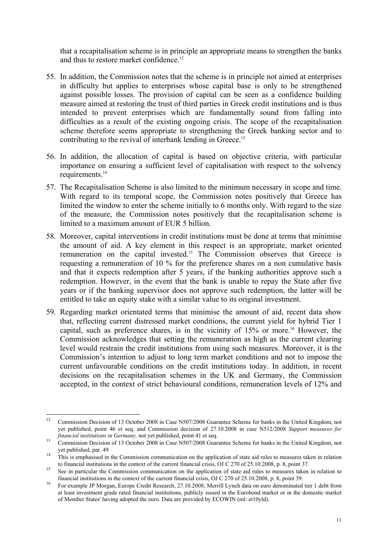that a recapitalisation scheme is in principle an appropriate means to strengthen the banks and thus to restore market confidence.<sup>12</sup>

- 55. In addition, the Commission notes that the scheme is in principle not aimed at enterprises in difficulty but applies to enterprises whose capital base is only to be strengthened against possible losses. The provision of capital can be seen as a confidence building measure aimed at restoring the trust of third parties in Greek credit institutions and is thus intended to prevent enterprises which are fundamentally sound from falling into difficulties as a result of the existing ongoing crisis. The scope of the recapitalisation scheme therefore seems appropriate to strengthening the Greek banking sector and to contributing to the revival of interbank lending in Greece.<sup>13</sup>
- 56. In addition, the allocation of capital is based on objective criteria, with particular importance on ensuring a sufficient level of capitalisation with respect to the solvency requirements.<sup>14</sup>
- 57. The Recapitalisation Scheme is also limited to the minimum necessary in scope and time. With regard to its temporal scope, the Commission notes positively that Greece has limited the window to enter the scheme initially to 6 months only. With regard to the size of the measure, the Commission notes positively that the recapitalisation scheme is limited to a maximum amount of EUR 5 billion.
- 58. Moreover, capital interventions in credit institutions must be done at terms that minimise the amount of aid. A key element in this respect is an appropriate, market oriented remuneration on the capital invested.<sup>15</sup> The Commission observes that Greece is requesting a remuneration of 10 % for the preference shares on a non cumulative basis and that it expects redemption after 5 years, if the banking authorities approve such a redemption. However, in the event that the bank is unable to repay the State after five years or if the banking supervisor does not approve such redemption, the latter will be entitled to take an equity stake with a similar value to its original investment.
- 59. Regarding market orientated terms that minimise the amount of aid, recent data show that, reflecting current distressed market conditions, the current yield for hybrid Tier 1 capital, such as preference shares, is in the vicinity of  $15\%$  or more.<sup>16</sup> However, the Commission acknowledges that setting the remuneration as high as the current clearing level would restrain the credit institutions from using such measures. Moreover, it is the Commission's intention to adjust to long term market conditions and not to impose the current unfavourable conditions on the credit institutions today. In addition, in recent decisions on the recapitalisation schemes in the UK and Germany, the Commission accepted, in the context of strict behavioural conditions, remuneration levels of 12% and

 $12<sup>12</sup>$ 12 Commission Decision of 13 October 2008 in Case N507/2008 Guarantee Scheme for banks in the United Kingdom, not yet published, point 46 et seq. and Commission decision of 27.10.2008 in case N512/2008 *Support measures for financial institutions in Germany,* not yet published, point 41 et seq.<br><sup>13</sup> Commission Decision of 13 October 2008 in Case N507/2008 Guarantee Scheme for banks in the United Kingdom, not

yet published, par. 49<br><sup>14</sup> This is emphasised in the Commission communication on the application of state aid rules to measures taken in relation

to financial institutions in the context of the current financial crisis, OJ C 270 of 25.10.2008, p. 8, point 37.<br>See in particular the Commission communication on the application of state aid rules to measures taken in r

<sup>&</sup>lt;sup>16</sup> For example JP Morgan, Europe Credit Research, 27.10.2008; Merrill Lynch data on euro denominated tier 1 debt from at least investment grade rated financial institutions, publicly issued in the Eurobond market or in the domestic market of Member States' having adopted the euro. Data are provided by ECOWIN (ml: et10yld).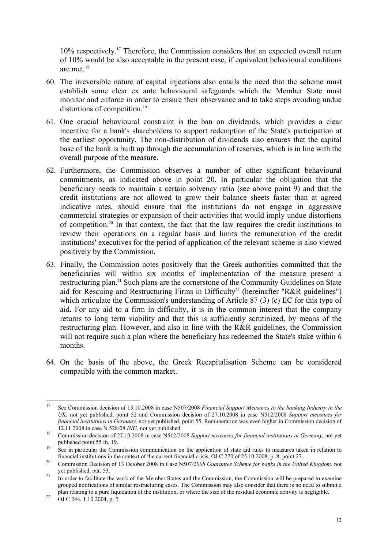10% respectively.17 Therefore, the Commission considers that an expected overall return of 10% would be also acceptable in the present case, if equivalent behavioural conditions are met.<sup>18</sup>

- 60. The irreversible nature of capital injections also entails the need that the scheme must establish some clear ex ante behavioural safeguards which the Member State must monitor and enforce in order to ensure their observance and to take steps avoiding undue distortions of competition.<sup>19</sup>
- 61. One crucial behavioural constraint is the ban on dividends, which provides a clear incentive for a bank's shareholders to support redemption of the State's participation at the earliest opportunity. The non-distribution of dividends also ensures that the capital base of the bank is built up through the accumulation of reserves, which is in line with the overall purpose of the measure.
- 62. Furthermore, the Commission observes a number of other significant behavioural commitments, as indicated above in point 20. In particular the obligation that the beneficiary needs to maintain a certain solvency ratio (see above point 9) and that the credit institutions are not allowed to grow their balance sheets faster than at agreed indicative rates, should ensure that the institutions do not engage in aggressive commercial strategies or expansion of their activities that would imply undue distortions of competition.20 In that context, the fact that the law requires the credit institutions to review their operations on a regular basis and limits the remuneration of the credit institutions' executives for the period of application of the relevant scheme is also viewed positively by the Commission.
- 63. Finally, the Commission notes positively that the Greek authorities committed that the beneficiaries will within six months of implementation of the measure present a restructuring plan.21 Such plans are the cornerstone of the Community Guidelines on State aid for Rescuing and Restructuring Firms in Difficulty<sup>22</sup> (hereinafter "R&R guidelines") which articulate the Commission's understanding of Article 87 (3) (c) EC for this type of aid. For any aid to a firm in difficulty, it is in the common interest that the company returns to long term viability and that this is sufficiently scrutinized, by means of the restructuring plan. However, and also in line with the R&R guidelines, the Commission will not require such a plan where the beneficiary has redeemed the State's stake within 6 months.
- 64. On the basis of the above, the Greek Recapitalisation Scheme can be considered compatible with the common market.

 $17$ 17 See Commission decision of 13.10.2008 in case N507/2008 *Financial Support Measures to the banking Industry in the UK*, not yet published, point 52 and Commission decision of 27.10.2008 in case N512/2008 *Support measures for financial institutions in Germany,* not yet published, point 55. Remuneration was even higher in Commission decision of 12.11.2008 in case N 528/08 *ING*, not yet published.<br><sup>18</sup> Commission decision of 27.10.2008 in case N512/2008 *Support measures for financial institutions in Germany*, not yet

published point 55 fn. 19.<br>
See in particular the Commission communication on the application of state aid rules to measures taken in relation to<br>
financial institutions in the context of the current financial crisis, OJ C

<sup>&</sup>lt;sup>20</sup> Commission Decision of 13 October 2008 in Case N507/2008 Guarantee Scheme for banks in the United Kingdom, not yet published, par. 53. 21 In order to facilitate the work of the Member States and the Commission, the Commission will be prepared to examine

grouped notifications of similar restructuring cases. The Commission may also consider that there is no need to submit a plan relating to a pure liquidation of the institution, or where the size of the residual economic activity is negligible. 22 OJ C 244, 1.10.2004, p. 2.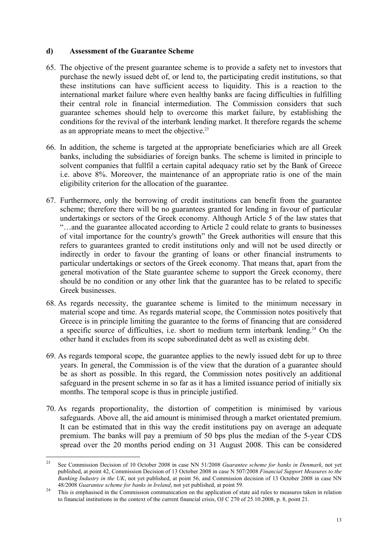#### **d) Assessment of the Guarantee Scheme**

- 65. The objective of the present guarantee scheme is to provide a safety net to investors that purchase the newly issued debt of, or lend to, the participating credit institutions, so that these institutions can have sufficient access to liquidity. This is a reaction to the international market failure where even healthy banks are facing difficulties in fulfilling their central role in financial intermediation. The Commission considers that such guarantee schemes should help to overcome this market failure, by establishing the conditions for the revival of the interbank lending market. It therefore regards the scheme as an appropriate means to meet the objective.23
- 66. In addition, the scheme is targeted at the appropriate beneficiaries which are all Greek banks, including the subsidiaries of foreign banks. The scheme is limited in principle to solvent companies that fullfil a certain capital adequacy ratio set by the Bank of Greece i.e. above 8%. Moreover, the maintenance of an appropriate ratio is one of the main eligibility criterion for the allocation of the guarantee.
- 67. Furthermore, only the borrowing of credit institutions can benefit from the guarantee scheme; therefore there will be no guarantees granted for lending in favour of particular undertakings or sectors of the Greek economy. Although Article 5 of the law states that "…and the guarantee allocated according to Article 2 could relate to grants to businesses of vital importance for the country's growth" the Greek authorities will ensure that this refers to guarantees granted to credit institutions only and will not be used directly or indirectly in order to favour the granting of loans or other financial instruments to particular undertakings or sectors of the Greek economy. That means that, apart from the general motivation of the State guarantee scheme to support the Greek economy, there should be no condition or any other link that the guarantee has to be related to specific Greek businesses.
- 68. As regards necessity, the guarantee scheme is limited to the minimum necessary in material scope and time. As regards material scope, the Commission notes positively that Greece is in principle limiting the guarantee to the forms of financing that are considered a specific source of difficulties, i.e. short to medium term interbank lending.<sup>24</sup> On the other hand it excludes from its scope subordinated debt as well as existing debt.
- 69. As regards temporal scope, the guarantee applies to the newly issued debt for up to three years. In general, the Commission is of the view that the duration of a guarantee should be as short as possible. In this regard, the Commission notes positively an additional safeguard in the present scheme in so far as it has a limited issuance period of initially six months. The temporal scope is thus in principle justified.
- 70. As regards proportionality, the distortion of competition is minimised by various safeguards. Above all, the aid amount is minimised through a market orientated premium. It can be estimated that in this way the credit institutions pay on average an adequate premium. The banks will pay a premium of 50 bps plus the median of the 5-year CDS spread over the 20 months period ending on 31 August 2008. This can be considered

<sup>23</sup> 23 See Commission Decision of 10 October 2008 in case NN 51/2008 *Guarantee scheme for banks in Denmark*, not yet published, at point 42, Commission Decision of 13 October 2008 in case N 507/2008 *Financial Support Measures to the Banking Industry in the UK*, not yet published, at point 56, and Commission decision of 13 October 2008 in case NN

<sup>48/2008</sup> *Guarantee scheme for banks in Ireland*, not yet published, at point 59.<br><sup>24</sup> This is emphasised in the Commission communication on the application of state aid rules to measures taken in relation to financial institutions in the context of the current financial crisis, OJ C 270 of 25.10.2008, p. 8, point 21.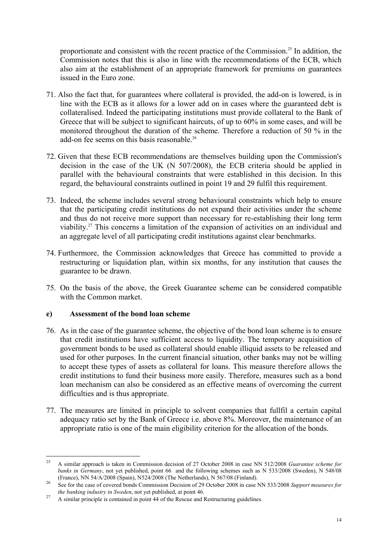proportionate and consistent with the recent practice of the Commission.25 In addition, the Commission notes that this is also in line with the recommendations of the ECB, which also aim at the establishment of an appropriate framework for premiums on guarantees issued in the Euro zone.

- 71. Also the fact that, for guarantees where collateral is provided, the add-on is lowered, is in line with the ECB as it allows for a lower add on in cases where the guaranteed debt is collateralised. Indeed the participating institutions must provide collateral to the Bank of Greece that will be subject to significant haircuts, of up to 60% in some cases, and will be monitored throughout the duration of the scheme. Therefore a reduction of 50 % in the add-on fee seems on this basis reasonable.<sup>26</sup>
- 72. Given that these ECB recommendations are themselves building upon the Commission's decision in the case of the UK (N 507/2008), the ECB criteria should be applied in parallel with the behavioural constraints that were established in this decision. In this regard, the behavioural constraints outlined in point 19 and 29 fulfil this requirement.
- 73. Indeed, the scheme includes several strong behavioural constraints which help to ensure that the participating credit institutions do not expand their activities under the scheme and thus do not receive more support than necessary for re-establishing their long term viability.27 This concerns a limitation of the expansion of activities on an individual and an aggregate level of all participating credit institutions against clear benchmarks.
- 74. Furthermore, the Commission acknowledges that Greece has committed to provide a restructuring or liquidation plan, within six months, for any institution that causes the guarantee to be drawn.
- 75. On the basis of the above, the Greek Guarantee scheme can be considered compatible with the Common market.

### **e) Assessment of the bond loan scheme**

- 76. As in the case of the guarantee scheme, the objective of the bond loan scheme is to ensure that credit institutions have sufficient access to liquidity. The temporary acquisition of government bonds to be used as collateral should enable illiquid assets to be released and used for other purposes. In the current financial situation, other banks may not be willing to accept these types of assets as collateral for loans. This measure therefore allows the credit institutions to fund their business more easily. Therefore, measures such as a bond loan mechanism can also be considered as an effective means of overcoming the current difficulties and is thus appropriate.
- 77. The measures are limited in principle to solvent companies that fullfil a certain capital adequacy ratio set by the Bank of Greece i.e. above 8%. Moreover, the maintenance of an appropriate ratio is one of the main eligibility criterion for the allocation of the bonds.

<sup>25</sup> 25 A similar approach is taken in Commission decision of 27 October 2008 in case NN 512/2008 *Guarantee scheme for banks in Germany*, not yet published, point 66 and the following schemes such as N 533/2008 (Sweden), N 548/08 (France), NN 54/A/2008 (Spain), N524/2008 (The Netherlands), N 567/08 (Finland). 26 See for the case of covered bonds Commission Decision of 29 October 2008 in case NN 533/2008 *Support measures for* 

*the banking industry in Sweden*, not yet published, at point 46.<br><sup>27</sup> A similar principle is contained in point 44 of the Rescue and Restructuring guidelines.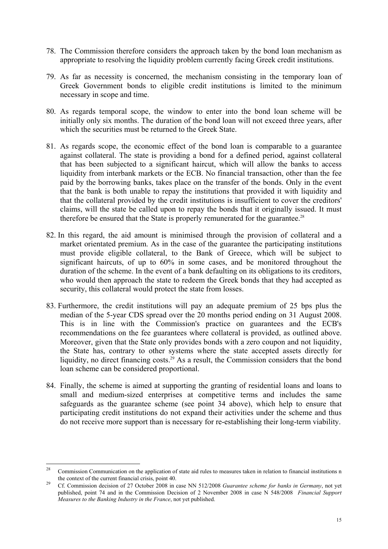- 78. The Commission therefore considers the approach taken by the bond loan mechanism as appropriate to resolving the liquidity problem currently facing Greek credit institutions.
- 79. As far as necessity is concerned, the mechanism consisting in the temporary loan of Greek Government bonds to eligible credit institutions is limited to the minimum necessary in scope and time.
- 80. As regards temporal scope, the window to enter into the bond loan scheme will be initially only six months. The duration of the bond loan will not exceed three years, after which the securities must be returned to the Greek State.
- 81. As regards scope, the economic effect of the bond loan is comparable to a guarantee against collateral. The state is providing a bond for a defined period, against collateral that has been subjected to a significant haircut, which will allow the banks to access liquidity from interbank markets or the ECB. No financial transaction, other than the fee paid by the borrowing banks, takes place on the transfer of the bonds. Only in the event that the bank is both unable to repay the institutions that provided it with liquidity and that the collateral provided by the credit institutions is insufficient to cover the creditors' claims, will the state be called upon to repay the bonds that it originally issued. It must therefore be ensured that the State is properly remunerated for the guarantee.<sup>28</sup>
- 82. In this regard, the aid amount is minimised through the provision of collateral and a market orientated premium. As in the case of the guarantee the participating institutions must provide eligible collateral, to the Bank of Greece, which will be subject to significant haircuts, of up to 60% in some cases, and be monitored throughout the duration of the scheme. In the event of a bank defaulting on its obligations to its creditors, who would then approach the state to redeem the Greek bonds that they had accepted as security, this collateral would protect the state from losses.
- 83. Furthermore, the credit institutions will pay an adequate premium of 25 bps plus the median of the 5-year CDS spread over the 20 months period ending on 31 August 2008. This is in line with the Commission's practice on guarantees and the ECB's recommendations on the fee guarantees where collateral is provided, as outlined above. Moreover, given that the State only provides bonds with a zero coupon and not liquidity, the State has, contrary to other systems where the state accepted assets directly for liquidity, no direct financing costs.<sup>29</sup> As a result, the Commission considers that the bond loan scheme can be considered proportional.
- 84. Finally, the scheme is aimed at supporting the granting of residential loans and loans to small and medium-sized enterprises at competitive terms and includes the same safeguards as the guarantee scheme (see point 34 above), which help to ensure that participating credit institutions do not expand their activities under the scheme and thus do not receive more support than is necessary for re-establishing their long-term viability.

 $28$ 28 Commission Communication on the application of state aid rules to measures taken in relation to financial institutions n the context of the current financial crisis, point 40.<br><sup>29</sup> Cf. Commission decision of 27 October 2008 in case NN 512/2008 *Guarantee scheme for banks in Germany*, not yet

published, point 74 and in the Commission Decision of 2 November 2008 in case N 548/2008 *Financial Support Measures to the Banking Industry in the France*, not yet published.